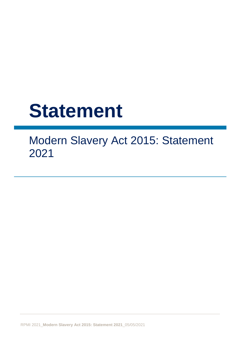# **Statement**

Modern Slavery Act 2015: Statement 2021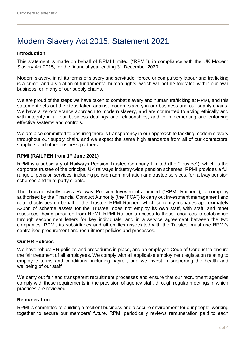# Modern Slavery Act 2015: Statement 2021

### **Introduction**

This statement is made on behalf of RPMI Limited ("RPMI"), in compliance with the UK Modern Slavery Act 2015, for the financial year ending 31 December 2020.

Modern slavery, in all its forms of slavery and servitude, forced or compulsory labour and trafficking is a crime, and a violation of fundamental human rights, which will not be tolerated within our own business, or in any of our supply chains.

We are proud of the steps we have taken to combat slavery and human trafficking at RPMI, and this statement sets out the steps taken against modern slavery in our business and our supply chains. We have a zero-tolerance approach to modern slavery, and are committed to acting ethically and with integrity in all our business dealings and relationships, and to implementing and enforcing effective systems and controls.

We are also committed to ensuring there is transparency in our approach to tackling modern slavery throughout our supply chain, and we expect the same high standards from all of our contractors, suppliers and other business partners.

#### **RPMI (RAILPEN from 1st June 2021)**

RPMI is a subsidiary of Railways Pension Trustee Company Limited (the "Trustee"), which is the corporate trustee of the principal UK railways industry-wide pension schemes. RPMI provides a full range of pension services, including pension administration and trustee services, for railway pension schemes and third party clients.

The Trustee wholly owns Railway Pension Investments Limited ("RPMI Railpen"), a company authorised by the Financial Conduct Authority (the "FCA") to carry out investment management and related activities on behalf of the Trustee. RPMI Railpen, which currently manages approximately £30bn of scheme assets for the Trustee, does not employ its own staff, with staff, and other resources, being procured from RPMI. RPMI Railpen's access to these resources is established through secondment letters for key individuals, and in a service agreement between the two companies. RPMI, its subsidiaries and all entities associated with the Trustee, must use RPMI's centralised procurement and recruitment policies and processes.

#### **Our HR Policies**

We have robust HR policies and procedures in place, and an employee Code of Conduct to ensure the fair treatment of all employees. We comply with all applicable employment legislation relating to employee terms and conditions, including payroll, and we invest in supporting the health and wellbeing of our staff.

We carry out fair and transparent recruitment processes and ensure that our recruitment agencies comply with these requirements in the provision of agency staff, through regular meetings in which practices are reviewed.

#### **Remuneration**

RPMI is committed to building a resilient business and a secure environment for our people, working together to secure our members' future. RPMI periodically reviews remuneration paid to each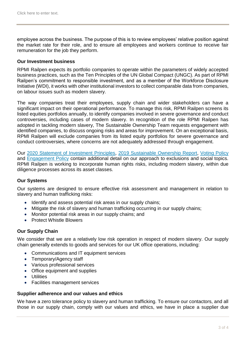employee across the business. The purpose of this is to review employees' relative position against the market rate for their role, and to ensure all employees and workers continue to receive fair remuneration for the job they perform.

#### **Our Investment business**

RPMI Railpen expects its portfolio companies to operate within the parameters of widely accepted business practices, such as the Ten Principles of the UN Global Compact (UNGC). As part of RPMI Railpen's commitment to responsible investment, and as a member of the Workforce Disclosure Initiative (WDI), it works with other institutional investors to collect comparable data from companies, on labour issues such as modern slavery.

The way companies treat their employees, supply chain and wider stakeholders can have a significant impact on their operational performance. To manage this risk, RPMI Railpen screens its listed equities portfolios annually, to identify companies involved in severe governance and conduct controversies, including cases of modern slavery. In recognition of the role RPMI Railpen has adopted in tackling modern slavery, The Sustainable Ownership Team requests engagement with identified companies, to discuss ongoing risks and areas for improvement. On an exceptional basis, RPMI Railpen will exclude companies from its listed equity portfolios for severe governance and conduct controversies, where concerns are not adequately addressed through engagement.

Our [2020 Statement of Investment Principles,](https://www.rpmirailpen.co.uk/wp-content/uploads/2018/05/SIP-Schedules-2020.pdf) [2019 Sustainable Ownership Report,](https://www.rpmirailpen.co.uk/sustainable-ownership-reports/) [Voting Policy](https://www.rpmirailpen.co.uk/wp-content/uploads/2018/05/RPMI-Railpen-2021-22-Voting-Policy.pdf) and [Engagement Policy](https://www.rpmirailpen.co.uk/wp-content/uploads/2018/05/FINAL.June2020.NOR-RPMI-Railpen-Engagement-Policy.pdf) contain additional detail on our approach to exclusions and social topics. RPMI Railpen is working to incorporate human rights risks, including modern slavery, within due diligence processes across its asset classes.

#### **Our Systems**

Our systems are designed to ensure effective risk assessment and management in relation to slavery and human trafficking risks:

- Identify and assess potential risk areas in our supply chains;
- Mitigate the risk of slavery and human trafficking occurring in our supply chains;
- Monitor potential risk areas in our supply chains: and
- Protect Whistle Blowers

## **Our Supply Chain**

We consider that we are a relatively low risk operation in respect of modern slavery. Our supply chain generally extends to goods and services for our UK office operations, including:

- Communications and IT equipment services
- Temporary/Agency staff
- Various professional services
- Office equipment and supplies
- **•** Utilities
- Facilities management services

#### **Supplier adherence and our values and ethics**

We have a zero tolerance policy to slavery and human trafficking. To ensure our contactors, and all those in our supply chain, comply with our values and ethics, we have in place a supplier due